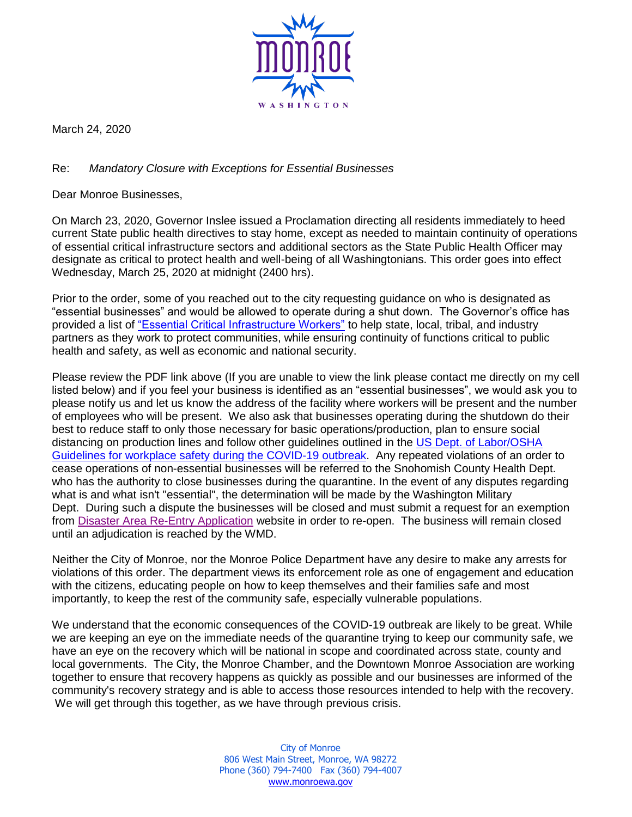

March 24, 2020

## Re: *Mandatory Closure with Exceptions for Essential Businesses*

Dear Monroe Businesses,

On March 23, 2020, Governor Inslee issued a Proclamation directing all residents immediately to heed current State public health directives to stay home, except as needed to maintain continuity of operations of essential critical infrastructure sectors and additional sectors as the State Public Health Officer may designate as critical to protect health and well-being of all Washingtonians. This order goes into effect Wednesday, March 25, 2020 at midnight (2400 hrs).

Prior to the order, some of you reached out to the city requesting guidance on who is designated as "essential businesses" and would be allowed to operate during a shut down. The Governor's office has provided a list of ["Essential Critical Infrastructure Workers"](https://coronavirus.wa.gov/sites/default/files/2020-03/EssentialCriticalInfrastructureWorkers.pdf) to help state, local, tribal, and industry partners as they work to protect communities, while ensuring continuity of functions critical to public health and safety, as well as economic and national security.

Please review the PDF link above (If you are unable to view the link please contact me directly on my cell listed below) and if you feel your business is identified as an "essential businesses", we would ask you to please notify us and let us know the address of the facility where workers will be present and the number of employees who will be present. We also ask that businesses operating during the shutdown do their best to reduce staff to only those necessary for basic operations/production, plan to ensure social distancing on production lines and follow other guidelines outlined in the [US Dept. of Labor/OSHA](https://www.osha.gov/SLTC/covid-19/controlprevention.html)  [Guidelines for workplace safety during the COVID-19 outbreak.](https://www.osha.gov/SLTC/covid-19/controlprevention.html) Any repeated violations of an order to cease operations of non-essential businesses will be referred to the Snohomish County Health Dept. who has the authority to close businesses during the quarantine. In the event of any disputes regarding what is and what isn't "essential", the determination will be made by the Washington Military Dept. During such a dispute the businesses will be closed and must submit a request for an exemption from [Disaster Area Re-Entry Application](https://mil.wa.gov/business-re-entry-registration) website in order to re-open. The business will remain closed until an adjudication is reached by the WMD.

Neither the City of Monroe, nor the Monroe Police Department have any desire to make any arrests for violations of this order. The department views its enforcement role as one of engagement and education with the citizens, educating people on how to keep themselves and their families safe and most importantly, to keep the rest of the community safe, especially vulnerable populations.

We understand that the economic consequences of the COVID-19 outbreak are likely to be great. While we are keeping an eye on the immediate needs of the quarantine trying to keep our community safe, we have an eye on the recovery which will be national in scope and coordinated across state, county and local governments. The City, the Monroe Chamber, and the Downtown Monroe Association are working together to ensure that recovery happens as quickly as possible and our businesses are informed of the community's recovery strategy and is able to access those resources intended to help with the recovery. We will get through this together, as we have through previous crisis.

> City of Monroe 806 West Main Street, Monroe, WA 98272 Phone (360) 794-7400 Fax (360) 794-4007 [www.monroewa.gov](http://www.monroewa.gov/)